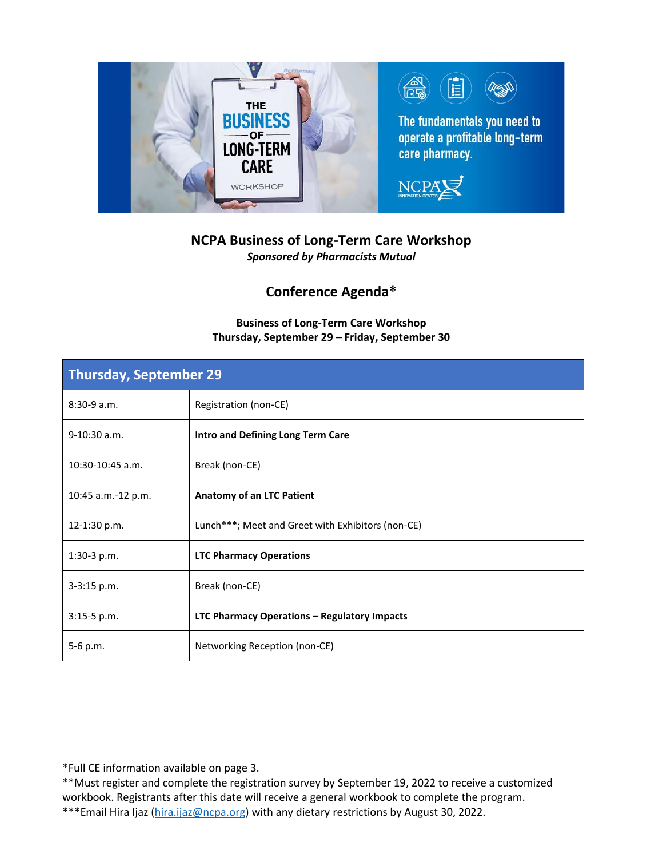

# **NCPA Business of Long-Term Care Workshop**

*Sponsored by Pharmacists Mutual*

## **Conference Agenda\***

### **Business of Long-Term Care Workshop Thursday, September 29 – Friday, September 30**

| Thursday, September 29 |                                                   |
|------------------------|---------------------------------------------------|
| $8:30-9a.m.$           | Registration (non-CE)                             |
| $9-10:30$ a.m.         | Intro and Defining Long Term Care                 |
| 10:30-10:45 a.m.       | Break (non-CE)                                    |
| 10:45 a.m.-12 p.m.     | Anatomy of an LTC Patient                         |
| 12-1:30 p.m.           | Lunch***; Meet and Greet with Exhibitors (non-CE) |
| 1:30-3 p.m.            | <b>LTC Pharmacy Operations</b>                    |
| $3 - 3:15$ p.m.        | Break (non-CE)                                    |
| 3:15-5 p.m.            | LTC Pharmacy Operations - Regulatory Impacts      |
| 5-6 p.m.               | Networking Reception (non-CE)                     |

\*Full CE information available on page 3.

\*\*Must register and complete the registration survey by September 19, 2022 to receive a customized workbook. Registrants after this date will receive a general workbook to complete the program. \*\*\*Email Hira Ijaz [\(hira.ijaz@ncpa.org\)](mailto:hira.ijaz@ncpa.org) with any dietary restrictions by August 30, 2022.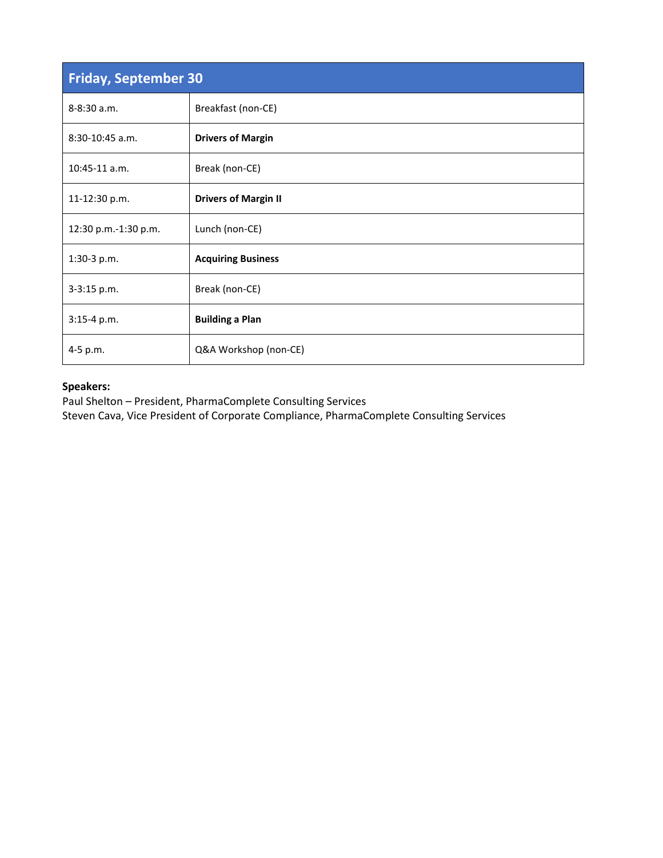| <b>Friday, September 30</b> |                             |
|-----------------------------|-----------------------------|
| $8 - 8:30$ a.m.             | Breakfast (non-CE)          |
| 8:30-10:45 a.m.             | <b>Drivers of Margin</b>    |
| $10:45-11$ a.m.             | Break (non-CE)              |
| 11-12:30 p.m.               | <b>Drivers of Margin II</b> |
| 12:30 p.m.-1:30 p.m.        | Lunch (non-CE)              |
| 1:30-3 p.m.                 | <b>Acquiring Business</b>   |
| 3-3:15 p.m.                 | Break (non-CE)              |
| 3:15-4 p.m.                 | <b>Building a Plan</b>      |
| 4-5 p.m.                    | Q&A Workshop (non-CE)       |

#### **Speakers:**

Paul Shelton – President, PharmaComplete Consulting Services Steven Cava, Vice President of Corporate Compliance, PharmaComplete Consulting Services